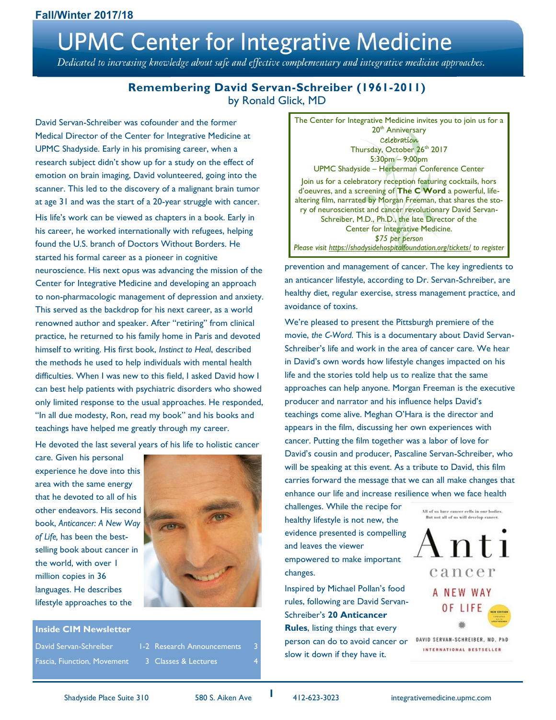# **UPMC Center for Integrative Medicine**

Dedicated to increasing knowledge about safe and effective complementary and integrative medicine approaches.

### **Remembering David Servan-Schreiber (1961-2011)** by Ronald Glick, MD

David Servan-Schreiber was cofounder and the former Medical Director of the Center for Integrative Medicine at UPMC Shadyside. Early in his promising career, when a research subject didn't show up for a study on the effect of emotion on brain imaging, David volunteered, going into the scanner. This led to the discovery of a malignant brain tumor at age 31 and was the start of a 20-year struggle with cancer.

His life's work can be viewed as chapters in a book. Early in his career, he worked internationally with refugees, helping found the U.S. branch of Doctors Without Borders. He started his formal career as a pioneer in cognitive neuroscience. His next opus was advancing the mission of the Center for Integrative Medicine and developing an approach to non-pharmacologic management of depression and anxiety. This served as the backdrop for his next career, as a world renowned author and speaker. After "retiring" from clinical practice, he returned to his family home in Paris and devoted himself to writing. His first book, *Instinct to Heal*, described the methods he used to help individuals with mental health difficulties. When I was new to this field, I asked David how I can best help patients with psychiatric disorders who showed only limited response to the usual approaches. He responded, "In all due modesty, Ron, read my book" and his books and teachings have helped me greatly through my career.

He devoted the last several years of his life to holistic cancer

care. Given his personal experience he dove into this area with the same energy that he devoted to all of his other endeavors. His second book, *Anticancer: A New Way of Life,* has been the bestselling book about cancer in the world, with over 1 million copies in 36 languages. He describes lifestyle approaches to the



#### **Inside CIM Newsletter**

David Servan-Schreiber 1-2 Research Announcements Fascia, Fiunction, Movement 3 Classes & Lectures



prevention and management of cancer. The key ingredients to an anticancer lifestyle, according to Dr. Servan-Schreiber, are healthy diet, regular exercise, stress management practice, and avoidance of toxins.

We're pleased to present the Pittsburgh premiere of the movie, *the C-Word.* This is a documentary about David Servan-Schreiber's life and work in the area of cancer care. We hear in David's own words how lifestyle changes impacted on his life and the stories told help us to realize that the same approaches can help anyone. Morgan Freeman is the executive producer and narrator and his influence helps David's teachings come alive. Meghan O'Hara is the director and appears in the film, discussing her own experiences with cancer. Putting the film together was a labor of love for David's cousin and producer, Pascaline Servan-Schreiber, who will be speaking at this event. As a tribute to David, this film carries forward the message that we can all make changes that enhance our life and increase resilience when we face health

challenges. While the recipe for healthy lifestyle is not new, the evidence presented is compelling and leaves the viewer empowered to make important changes.

Inspired by Michael Pollan's food rules, following are David Servan-Schreiber's **20 Anticancer Rules**, listing things that every person can do to avoid cancer or slow it down if they have it.



DAVID SERVAN-SCHREIBER, MD, PhD INTERNATIONAL BESTSELLER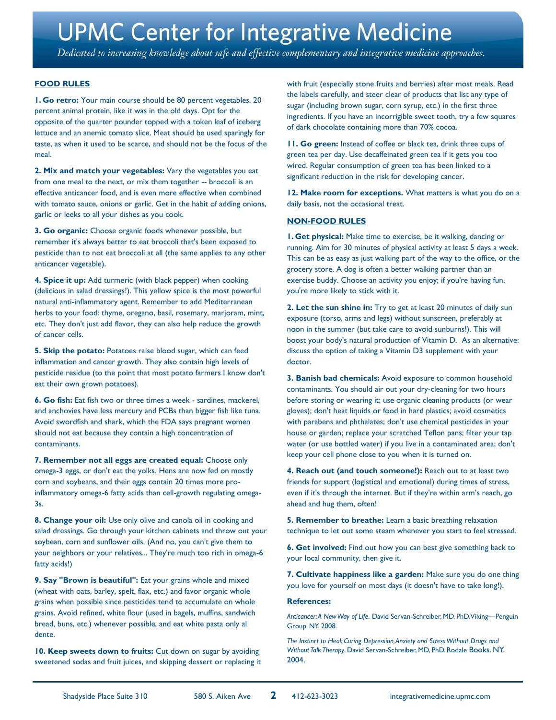# **UPMC Center for Integrative Medicine**

Dedicated to increasing knowledge about safe and effective complementary and integrative medicine approaches.

#### **FOOD RULES**

**1. Go retro:** Your main course should be 80 percent vegetables, 20 percent animal protein, like it was in the old days. Opt for the opposite of the quarter pounder topped with a token leaf of iceberg lettuce and an anemic tomato slice. Meat should be used sparingly for taste, as when it used to be scarce, and should not be the focus of the meal.

**2. Mix and match your vegetables:** Vary the vegetables you eat from one meal to the next, or mix them together -- broccoli is an effective anticancer food, and is even more effective when combined with tomato sauce, onions or garlic. Get in the habit of adding onions, garlic or leeks to all your dishes as you cook.

**3. Go organic:** Choose organic foods whenever possible, but remember it's always better to eat broccoli that's been exposed to pesticide than to not eat broccoli at all (the same applies to any other anticancer vegetable).

**4. Spice it up:** Add turmeric (with black pepper) when cooking (delicious in salad dressings!). This yellow spice is the most powerful natural anti-inflammatory agent. Remember to add Mediterranean herbs to your food: thyme, oregano, basil, rosemary, marjoram, mint, etc. They don't just add flavor, they can also help reduce the growth of cancer cells.

**5. Skip the potato:** Potatoes raise blood sugar, which can feed inflammation and cancer growth. They also contain high levels of pesticide residue (to the point that most potato farmers I know don't eat their own grown potatoes).

**6. Go fish:** Eat fish two or three times a week - sardines, mackerel, and anchovies have less mercury and PCBs than bigger fish like tuna. Avoid swordfish and shark, which the FDA says pregnant women should not eat because they contain a high concentration of contaminants.

**7. Remember not all eggs are created equal:** Choose only omega-3 eggs, or don't eat the yolks. Hens are now fed on mostly corn and soybeans, and their eggs contain 20 times more proinflammatory omega-6 fatty acids than cell-growth regulating omega-3s.

**8. Change your oil:** Use only olive and canola oil in cooking and salad dressings. Go through your kitchen cabinets and throw out your soybean, corn and sunflower oils. (And no, you can't give them to your neighbors or your relatives... They're much too rich in omega-6 fatty acids!)

**9. Say "Brown is beautiful":** Eat your grains whole and mixed (wheat with oats, barley, spelt, flax, etc.) and favor organic whole grains when possible since pesticides tend to accumulate on whole grains. Avoid refined, white flour (used in bagels, muffins, sandwich bread, buns, etc.) whenever possible, and eat white pasta only al dente.

**10. Keep sweets down to fruits:** Cut down on sugar by avoiding sweetened sodas and fruit juices, and skipping dessert or replacing it with fruit (especially stone fruits and berries) after most meals. Read the labels carefully, and steer clear of products that list any type of sugar (including brown sugar, corn syrup, etc.) in the first three ingredients. If you have an incorrigible sweet tooth, try a few squares of dark chocolate containing more than 70% cocoa.

**11. Go green:** Instead of coffee or black tea, drink three cups of green tea per day. Use decaffeinated green tea if it gets you too wired. Regular consumption of green tea has been linked to a significant reduction in the risk for developing cancer.

**12. Make room for exceptions.** What matters is what you do on a daily basis, not the occasional treat.

#### **NON-FOOD RULES**

**1. Get physical:** Make time to exercise, be it walking, dancing or running. Aim for 30 minutes of physical activity at least 5 days a week. This can be as easy as just walking part of the way to the office, or the grocery store. A dog is often a better walking partner than an exercise buddy. Choose an activity you enjoy; if you're having fun, you're more likely to stick with it.

**2. Let the sun shine in:** Try to get at least 20 minutes of daily sun exposure (torso, arms and legs) without sunscreen, preferably at noon in the summer (but take care to avoid sunburns!). This will boost your body's natural production of Vitamin D. As an alternative: discuss the option of taking a Vitamin D3 supplement with your doctor.

**3. Banish bad chemicals:** Avoid exposure to common household contaminants. You should air out your dry-cleaning for two hours before storing or wearing it; use organic cleaning products (or wear gloves); don't heat liquids or food in hard plastics; avoid cosmetics with parabens and phthalates; don't use chemical pesticides in your house or garden; replace your scratched Teflon pans; filter your tap water (or use bottled water) if you live in a contaminated area; don't keep your cell phone close to you when it is turned on.

**4. Reach out (and touch someone!):** Reach out to at least two friends for support (logistical and emotional) during times of stress, even if it's through the internet. But if they're within arm's reach, go ahead and hug them, often!

**5. Remember to breathe:** Learn a basic breathing relaxation technique to let out some steam whenever you start to feel stressed.

**6. Get involved:** Find out how you can best give something back to your local community, then give it.

**7. Cultivate happiness like a garden:** Make sure you do one thing you love for yourself on most days (it doesn't have to take long!).

#### **References:**

*Anticancer: A New Way of Life.* David Servan-Schreiber, MD, PhD. Viking—Penguin Group. NY. 2008.

*The Instinct to Heal: Curing Depression, Anxiety and Stress Without Drugs and Without Talk Therapy*. David Servan-Schreiber, MD, PhD. Rodale Books. NY. 2004.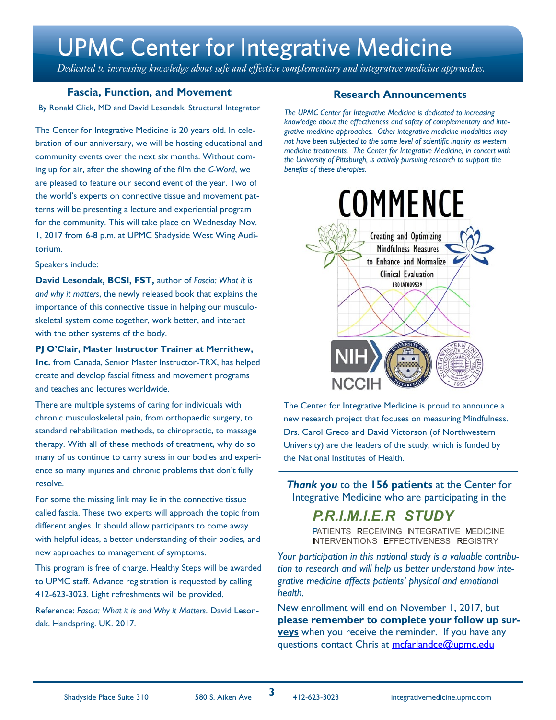# **UPMC Center for Integrative Medicine**

Dedicated to increasing knowledge about safe and effective complementary and integrative medicine approaches.

#### **Fascia, Function, and Movement**

By Ronald Glick, MD and David Lesondak, Structural Integrator *The UPMC Center for Integrative Medicine is dedicated to increasing* 

The Center for Integrative Medicine is 20 years old. In celebration of our anniversary, we will be hosting educational and community events over the next six months. Without coming up for air, after the showing of the film the *C-Word*, we are pleased to feature our second event of the year. Two of the world's experts on connective tissue and movement patterns will be presenting a lecture and experiential program for the community. This will take place on Wednesday Nov. 1, 2017 from 6-8 p.m. at UPMC Shadyside West Wing Auditorium.

#### Speakers include:

**David Lesondak, BCSI, FST,** author of *Fascia: What it is and why it matters*, the newly released book that explains the importance of this connective tissue in helping our musculoskeletal system come together, work better, and interact with the other systems of the body.

#### **PJ O'Clair, Master Instructor Trainer at Merrithew,**

**Inc.** from Canada, Senior Master Instructor-TRX, has helped create and develop fascial fitness and movement programs and teaches and lectures worldwide.

There are multiple systems of caring for individuals with chronic musculoskeletal pain, from orthopaedic surgery, to standard rehabilitation methods, to chiropractic, to massage therapy. With all of these methods of treatment, why do so many of us continue to carry stress in our bodies and experience so many injuries and chronic problems that don't fully resolve.

For some the missing link may lie in the connective tissue called fascia. These two experts will approach the topic from different angles. It should allow participants to come away with helpful ideas, a better understanding of their bodies, and new approaches to management of symptoms.

This program is free of charge. Healthy Steps will be awarded to UPMC staff. Advance registration is requested by calling 412-623-3023. Light refreshments will be provided.

Reference: *Fascia: What it is and Why it Matters*. David Lesondak. Handspring. UK. 2017.

#### **Research Announcements**

*knowledge about the effectiveness and safety of complementary and integrative medicine approaches. Other integrative medicine modalities may not have been subjected to the same level of scientific inquiry as western medicine treatments. The Center for Integrative Medicine, in concert with the University of Pittsburgh, is actively pursuing research to support the benefits of these therapies.*



The Center for Integrative Medicine is proud to announce a new research project that focuses on measuring Mindfulness. Drs. Carol Greco and David Victorson (of Northwestern University) are the leaders of the study, which is funded by the National Institutes of Health.

*Thank you* to the **156 patients** at the Center for Integrative Medicine who are participating in the

# *P.R.l.M.l.E.R STUDY*

PATIENTS RECEIVING INTEGRATIVE MEDICINE INTERVENTIONS EFFECTIVENESS REGISTRY

*Your participation in this national study is a valuable contribution to research and will help us better understand how integrative medicine affects patients' physical and emotional health.* 

New enrollment will end on November 1, 2017, but **please remember to complete your follow up surveys** when you receive the reminder. If you have any questions contact Chris at [mcfarlandce@upmc.edu](mailto:mcfarlandce@upmc.edu?subject=Chris%20McFarland)